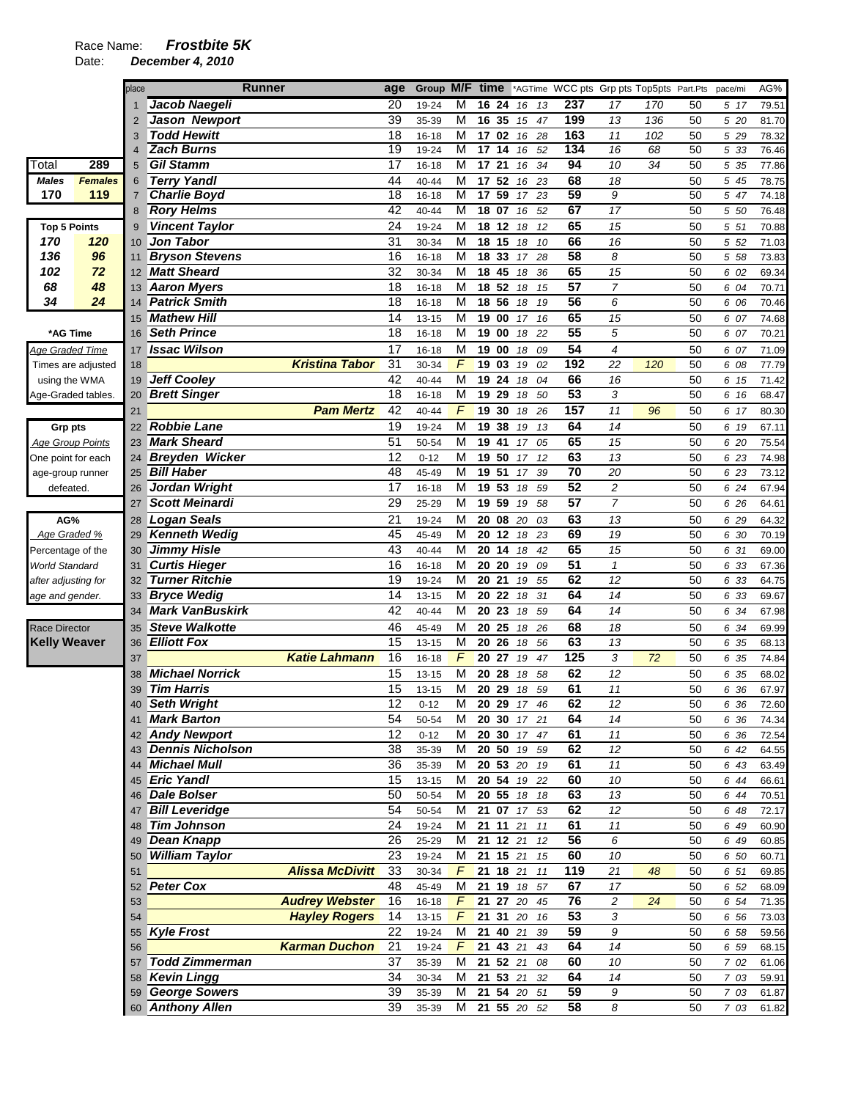|                         |                    | place          | <b>Runner</b>           |                        | age             | Group M/F time |                         |                 |                  |             |    |                 |                  | *AGTime WCC pts Grp pts Top5pts Part.Pts |    | pace/mi | AG%   |
|-------------------------|--------------------|----------------|-------------------------|------------------------|-----------------|----------------|-------------------------|-----------------|------------------|-------------|----|-----------------|------------------|------------------------------------------|----|---------|-------|
|                         |                    |                | Jacob Naegeli           |                        | 20              | 19-24          | M                       | 16              | 24               | 16          | 13 | 237             | 17               | 170                                      | 50 | 5 17    | 79.51 |
|                         |                    | $\overline{2}$ | Jason Newport           |                        | 39              | 35-39          | M                       | 16              | 35               | 15          | 47 | 199             | 13               | 136                                      | 50 | 5 20    | 81.70 |
|                         |                    | 3              | <b>Todd Hewitt</b>      |                        | 18              | 16-18          | M                       |                 | 17 02            | 16          | 28 | 163             | 11               | 102                                      | 50 | 5 29    | 78.32 |
|                         |                    |                | <b>Zach Burns</b>       |                        | $\overline{19}$ | 19-24          | M                       | 17              | 14               | 16          | 52 | 134             | 16               | 68                                       | 50 | 5 33    | 76.46 |
| Total                   | 289                | 5              | <b>Gil Stamm</b>        |                        | 17              | 16-18          | M                       | 17 21           |                  | 16          | 34 | 94              | 10               | 34                                       | 50 | 5 35    | 77.86 |
| Males                   | <b>Females</b>     | 6              | <b>Terry Yandl</b>      |                        | 44              | 40-44          | M                       |                 | 17 52            | 16          | 23 | 68              | 18               |                                          | 50 | 5 45    | 78.75 |
| 170                     | 119                | $\overline{7}$ | <b>Charlie Boyd</b>     |                        | 18              | $16 - 18$      | M                       | $\overline{17}$ | 59               | 17          | 23 | 59              | 9                |                                          | 50 | 5 47    | 74.18 |
|                         |                    | 8              | <b>Rory Helms</b>       |                        | 42              | 40-44          | M                       | 18 07           |                  | 16          | 52 | 67              | $\overline{17}$  |                                          | 50 | 5 50    | 76.48 |
| <b>Top 5 Points</b>     |                    | 9              | <b>Vincent Taylor</b>   |                        | 24              | 19-24          | M                       | 18              | 12               | 18          | 12 | 65              | 15               |                                          | 50 | 5 51    | 70.88 |
| 170                     | 120                | 10             | <b>Jon Tabor</b>        |                        | 31              | 30-34          | M                       | 18 15           |                  | 18          | 10 | 66              | 16               |                                          | 50 | 5 52    | 71.03 |
| 136                     | 96                 | 11             | <b>Bryson Stevens</b>   |                        | 16              | 16-18          | M                       | 18              | 33               | 17          | 28 | 58              | 8                |                                          | 50 | 5 58    | 73.83 |
| 102                     | 72                 | 12             | <b>Matt Sheard</b>      |                        | 32              | 30-34          | M                       | 18 45           |                  | 18          | 36 | 65              | 15               |                                          | 50 | 6 02    | 69.34 |
| 68                      | 48                 | 13             | <b>Aaron Myers</b>      |                        | 18              | $16 - 18$      | M                       | 18              | 52               | 18          | 15 | $\overline{57}$ | $\overline{7}$   |                                          | 50 | 6 04    | 70.71 |
| 34                      | 24                 | 14             | <b>Patrick Smith</b>    |                        | 18              | $16 - 18$      | M                       | 18 56           |                  | 18          | 19 | 56              | 6                |                                          | 50 | 6 06    | 70.46 |
|                         |                    | 15             | <b>Mathew Hill</b>      |                        | 14              | 13-15          | M                       | 19 00           |                  | 17          | 16 | 65              | 15               |                                          | 50 | 6 07    | 74.68 |
| *AG Time                |                    | 16             | <b>Seth Prince</b>      |                        | 18              | $16 - 18$      | M                       | 19              | 00               | 18          | 22 | 55              | 5                |                                          | 50 | 6 07    | 70.21 |
| Age Graded Time         |                    | 17             | <b>Issac Wilson</b>     |                        | 17              | $16 - 18$      | M                       | 19              | 00               | 18          | 09 | $\overline{54}$ | 4                |                                          | 50 | 6 07    | 71.09 |
|                         | Times are adjusted | 18             |                         | <b>Kristina Tabor</b>  | 31              | 30-34          | F                       |                 | 19 03            | 19          | 02 | 192             | 22               | 120                                      | 50 | 6 08    | 77.79 |
| using the WMA           |                    | 19             | <b>Jeff Cooley</b>      |                        | 42              | 40-44          | M                       | 19 24           |                  | 18          | 04 | 66              | 16               |                                          | 50 | 6 15    | 71.42 |
| Age-Graded tables.      |                    | 20             | <b>Brett Singer</b>     |                        | 18              | $16 - 18$      | M                       | 19              | 29               | 18          | 50 | 53              | 3                |                                          | 50 | 6 16    | 68.47 |
|                         |                    | 21             |                         | <b>Pam Mertz</b>       | 42              | 40-44          | F                       | 19              | 30               | 18          | 26 | 157             | 11               | 96                                       | 50 | 6 17    | 80.30 |
| <b>Grp pts</b>          |                    | 22             | Robbie Lane             |                        | 19              | 19-24          | M                       | 19              | 38               | 19          | 13 | 64              | 14               |                                          | 50 | 6 19    | 67.11 |
| <b>Age Group Points</b> |                    | 23             | <b>Mark Sheard</b>      |                        | 51              | 50-54          | М                       | 19 41           |                  | 17          | 05 | 65              | 15               |                                          | 50 | 6 20    | 75.54 |
| One point for each      |                    | 24             | <b>Breyden Wicker</b>   |                        | 12              | $0 - 12$       | M                       | 19 50           |                  | 17          | 12 | 63              | 13               |                                          | 50 | 6 23    | 74.98 |
| age-group runner        |                    | 25             | <b>Bill Haber</b>       |                        | 48              | 45-49          | M                       | 19              | 51               | 17          | 39 | $\overline{70}$ | 20               |                                          | 50 | 6 23    | 73.12 |
| defeated.               |                    | 26             | Jordan Wright           |                        | 17              | 16-18          | M                       | 19              | 53               | 18          | 59 | 52              | $\overline{c}$   |                                          | 50 | 6 24    | 67.94 |
|                         |                    | 27             | <b>Scott Meinardi</b>   |                        | 29              | 25-29          | M                       | 19              | 59               | 19          | 58 | 57              | $\overline{7}$   |                                          | 50 | 6 26    | 64.61 |
| AG%                     |                    | 28             | Logan Seals             |                        | 21              | 19-24          | M                       | 20 08           |                  | 20          | 03 | 63              | 13               |                                          | 50 | 6 29    | 64.32 |
| Age Graded %            |                    | 29             | <b>Kenneth Wedig</b>    |                        | 45              | 45-49          | M                       | 20              | 12               | 18          | 23 | 69              | 19               |                                          | 50 | 6 30    | 70.19 |
| Percentage of the       |                    | 30             | <b>Jimmy Hisle</b>      |                        | 43              | 40-44          | M                       | 20              | 14               | 18          | 42 | 65              | 15               |                                          | 50 | 6 31    | 69.00 |
| World Standard          |                    | 31             | <b>Curtis Hieger</b>    |                        | 16              | $16 - 18$      | М                       | 20 20           |                  | 19          | 09 | 51              | $\mathcal I$     |                                          | 50 | 6 33    | 67.36 |
| after adjusting for     |                    | 32             | <b>Turner Ritchie</b>   |                        | 19              | 19-24          | M                       | 20 21           |                  | 19          | 55 | 62              | 12               |                                          | 50 | 6 33    | 64.75 |
| age and gender.         |                    | 33             | <b>Bryce Wedig</b>      |                        | 14              | $13 - 15$      | M                       | 20              | 22               | 18          | 31 | 64              | 14               |                                          | 50 | 6 33    | 69.67 |
|                         |                    | 34             | <b>Mark VanBuskirk</b>  |                        | 42              | 40-44          | M                       | 20 23           |                  | 18          | 59 | 64              | 14               |                                          | 50 | 6 34    | 67.98 |
| <b>Race Director</b>    |                    | 35             | <b>Steve Walkotte</b>   |                        | 46              | 45-49          | M                       | 20              | 25               | 18          | 26 | 68              | 18               |                                          | 50 | 6 34    | 69.99 |
| <b>Kelly Weaver</b>     |                    | 36             | <b>Elliott Fox</b>      |                        | 15              | 13-15          | M                       | 20 26           |                  | 18          | 56 | 63              | 13               |                                          | 50 | 6 35    | 68.13 |
|                         |                    | 37             |                         | <b>Katie Lahmann</b>   | 16              | $16 - 18$      | F                       | 20 27           |                  | 19          | 47 | 125             | 3                | 72                                       | 50 | 6 35    | 74.84 |
|                         |                    | 38             | <b>Michael Norrick</b>  |                        | 15              | 13-15          | M                       | 20 28           |                  | 18          | 58 | 62              | 12               |                                          | 50 | 6 35    | 68.02 |
|                         |                    | 39             | <b>Tim Harris</b>       |                        | 15              | 13-15          | M                       | 20              | 29               | 18          | 59 | 61              | 11               |                                          | 50 | 6 36    | 67.97 |
|                         |                    |                | 40 Seth Wright          |                        | $\overline{12}$ | $0 - 12$       | $\overline{\mathsf{M}}$ |                 |                  | 20 29 17 46 |    | 62              | $12\,$           |                                          | 50 | 6 36    | 72.60 |
|                         |                    | 41             | <b>Mark Barton</b>      |                        | 54              | 50-54          | м                       |                 |                  | 20 30 17 21 |    | 64              | 14               |                                          | 50 | 6 36    | 74.34 |
|                         |                    |                | 42 Andy Newport         |                        | 12              | $0 - 12$       | Μ                       |                 |                  | 20 30 17 47 |    | 61              | 11               |                                          | 50 | 6 36    | 72.54 |
|                         |                    | 43             | <b>Dennis Nicholson</b> |                        | 38              | 35-39          | M                       |                 |                  | 20 50 19 59 |    | 62              | $12\,$           |                                          | 50 | 6 42    | 64.55 |
|                         |                    |                | <b>Michael Mull</b>     |                        | 36              | 35-39          | М                       |                 |                  | 20 53 20 19 |    | 61              | $11$             |                                          | 50 | 6 43    | 63.49 |
|                         |                    | 45             | <b>Eric Yandl</b>       |                        | 15              | $13 - 15$      | М                       |                 |                  | 20 54 19 22 |    | 60              | $10\,$           |                                          | 50 | 6 44    | 66.61 |
|                         |                    | 46             | <b>Dale Bolser</b>      |                        | 50              | 50-54          | M                       |                 |                  | 20 55 18 18 |    | 63              | 13               |                                          | 50 | 6 44    | 70.51 |
|                         |                    | 47             | <b>Bill Leveridge</b>   |                        | 54              | 50-54          | M                       |                 |                  | 21 07 17 53 |    | 62              | $12\,$           |                                          | 50 | 6 48    | 72.17 |
|                         |                    | 48             | <b>Tim Johnson</b>      |                        | 24              | 19-24          | м                       |                 | $21$ 11 21       |             | 11 | 61              | $11$             |                                          | 50 | 6 49    | 60.90 |
|                         |                    | 49             | <b>Dean Knapp</b>       |                        | 26              | 25-29          | м                       |                 | 21 12 21         |             | 12 | 56              | 6                |                                          | 50 | 6 49    | 60.85 |
|                         |                    | 50             | <b>William Taylor</b>   |                        | $\overline{23}$ | 19-24          | Μ                       |                 |                  | 21 15 21 15 |    | 60              | 10               |                                          | 50 | 6 50    | 60.71 |
|                         |                    | 51             |                         | <b>Alissa McDivitt</b> | 33              | 30-34          | F                       |                 | 21 18 21         |             | 11 | 119             | 21               | 48                                       | 50 | 6 51    | 69.85 |
|                         |                    | 52             | <b>Peter Cox</b>        |                        | 48              | 45-49          | Μ                       |                 | 21 19            | 18          | 57 | 67              | 17               |                                          | 50 | 6 52    | 68.09 |
|                         |                    | 53             |                         | <b>Audrey Webster</b>  | 16              | $16 - 18$      | $\overline{F}$          |                 |                  | 21 27 20 45 |    | 76              | $\boldsymbol{2}$ | 24                                       | 50 | 6 54    | 71.35 |
|                         |                    | 54             |                         | <b>Hayley Rogers</b>   | 14              | $13 - 15$      | F                       |                 | 21 31 20         |             | 16 | 53              | 3                |                                          | 50 | 6 56    | 73.03 |
|                         |                    |                | 55 Kyle Frost           |                        | 22              | 19-24          | M                       |                 | 21 40 21         |             | 39 | 59              | 9                |                                          | 50 | 6 58    | 59.56 |
|                         |                    | 56             |                         | <b>Karman Duchon</b>   | 21              | 19-24          | F                       |                 | 21 43 21         |             | 43 | 64              | $14$             |                                          | 50 | 6 59    | 68.15 |
|                         |                    | 57             | <b>Todd Zimmerman</b>   |                        | 37              | 35-39          | M                       |                 | 21 52 21         |             | 08 | 60              | $10\,$           |                                          | 50 | 7 02    | 61.06 |
|                         |                    |                | 58 Kevin Lingg          |                        | 34              | 30-34          | М                       |                 |                  | 21 53 21 32 |    | 64              | 14               |                                          | 50 | 7 03    | 59.91 |
|                         |                    | 59             | <b>George Sowers</b>    |                        | 39              | 35-39          | M                       |                 | $21 \t 54 \t 20$ |             | 51 | 59              | 9                |                                          | 50 | 7 03    | 61.87 |
|                         |                    |                | 60 Anthony Allen        |                        | 39              | 35-39          | M                       |                 |                  | 21 55 20 52 |    | 58              | 8                |                                          | 50 | 7 03    | 61.82 |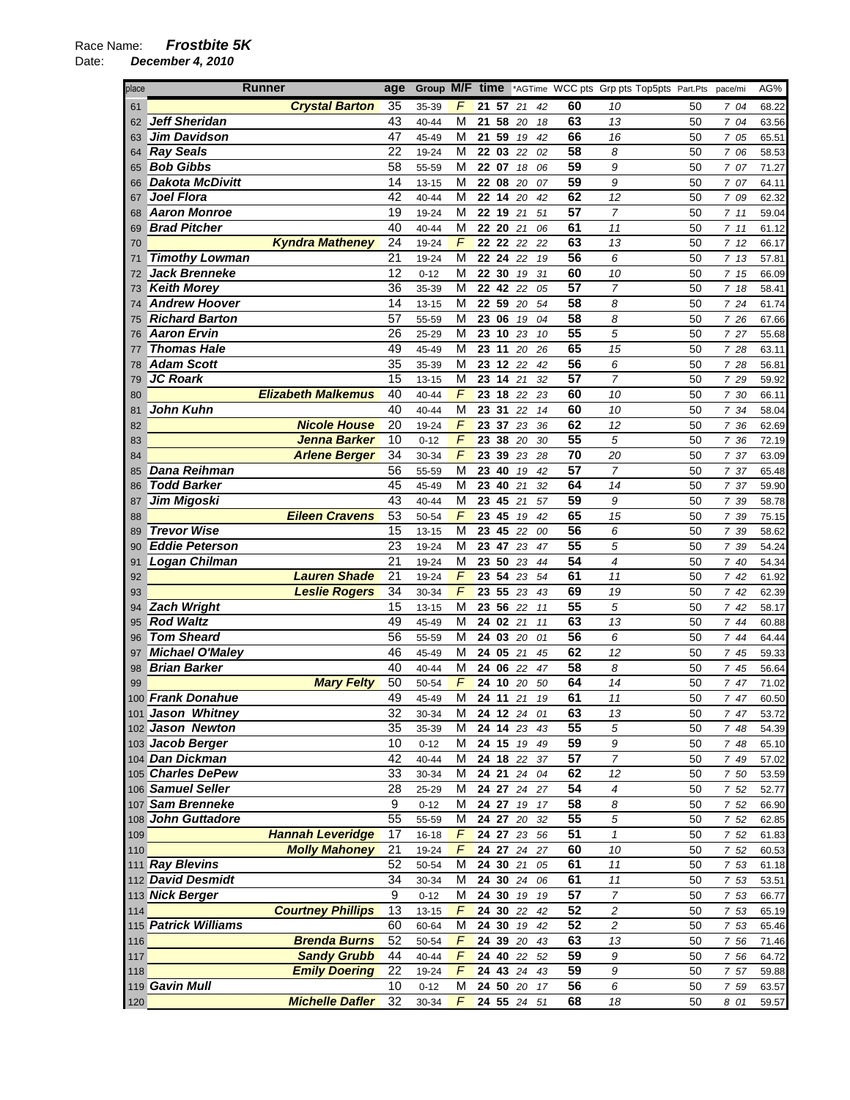| place    | <b>Runner</b>                                 | age             | Group M/F time |               |    |                |          |          | *AGTime WCC pts Grp pts Top5pts Part.Pts |                         |          | pace/mi      | AG%            |
|----------|-----------------------------------------------|-----------------|----------------|---------------|----|----------------|----------|----------|------------------------------------------|-------------------------|----------|--------------|----------------|
| 61       | <b>Crystal Barton</b>                         | 35              | 35-39          | F             |    | 21 57 21       |          | 42       | 60                                       | 10                      | 50       | 7 04         | 68.22          |
| 62       | <b>Jeff Sheridan</b>                          | 43              | 40-44          | M             | 21 | 58             | 20       | 18       | 63                                       | 13                      | 50       | 7 04         | 63.56          |
| 63       | <b>Jim Davidson</b>                           | 47              | 45-49          | M             |    | 21 59          | 19       | 42       | 66                                       | 16                      | 50       | 7 05         | 65.51          |
| 64       | <b>Ray Seals</b>                              | 22              | 19-24          | M             |    | 22 03          | 22       | 02       | 58                                       | 8                       | 50       | 7 06         | 58.53          |
| 65       | <b>Bob Gibbs</b>                              | 58              | 55-59          | M             |    | 22 07          | 18       | 06       | 59                                       | 9                       | 50       | 7 07         | 71.27          |
| 66       | <b>Dakota McDivitt</b>                        | 14              | 13-15          | м             |    | 22 08          | 20       | 07       | 59                                       | 9                       | 50       | 7 07         | 64.11          |
| 67       | <b>Joel Flora</b>                             | 42              | 40-44          | M             |    | 22 14          | 20       | 42       | 62                                       | 12                      | 50       | 7 09         | 62.32          |
| 68       | <b>Aaron Monroe</b>                           | 19              | 19-24          | М             | 22 | 19             | 21       | 51       | 57                                       | $\overline{7}$          | 50       | 711          | 59.04          |
| 69       | <b>Brad Pitcher</b>                           | 40              | 40-44          | М             |    | 22 20          | 21       | 06       | 61                                       | 11                      | 50       | 7.11         | 61.12          |
| 70       | <b>Kyndra Matheney</b>                        | 24              | 19-24          | $\sqrt{2}$    |    | 22 22          | 22       | 22       | 63                                       | 13                      | 50       | 712          | 66.17          |
| 71       | <b>Timothy Lowman</b>                         | 21              | 19-24          | М             |    | 22 24          | 22       | 19       | 56                                       | 6                       | 50       | 713          | 57.81          |
| 72       | <b>Jack Brenneke</b>                          | 12              | $0 - 12$       | M             |    | 22 30          | 19       | 31       | 60                                       | 10                      | 50       | 7 15         | 66.09          |
| 73       | <b>Keith Morey</b>                            | 36              | 35-39          | М             |    | 22 42          | 22       | 05       | 57                                       | $\overline{7}$          | 50       | 7 18         | 58.41          |
| 74       | <b>Andrew Hoover</b><br><b>Richard Barton</b> | 14<br>57        | 13-15          | М<br>M        |    | 22 59          | 20       | 54       | 58<br>58                                 | 8<br>8                  | 50       | 7 24         | 61.74          |
| 75<br>76 | <b>Aaron Ervin</b>                            | 26              | 55-59<br>25-29 | М             |    | 23 06<br>23 10 | 19<br>23 | 04<br>10 | 55                                       | 5                       | 50<br>50 | 7 26<br>7 27 | 67.66<br>55.68 |
|          | <b>Thomas Hale</b>                            | 49              | 45-49          | М             |    | 23 11          | 20       | 26       | 65                                       | 15                      | 50       | 7 28         | 63.11          |
| 78       | <b>Adam Scott</b>                             | $\overline{35}$ | 35-39          | М             |    | 23 12          | 22       | 42       | 56                                       | 6                       | 50       | 7 28         | 56.81          |
| 79       | <b>JC Roark</b>                               | 15              | 13-15          | M             |    | 23 14          | 21       | 32       | $\overline{57}$                          | $\overline{7}$          | 50       | 7 29         | 59.92          |
| 80       | <b>Elizabeth Malkemus</b>                     | 40              | 40-44          | F             |    | 23 18 22       |          | 23       | 60                                       | 10                      | 50       | 7 30         | 66.11          |
| 81       | John Kuhn                                     | 40              | 40-44          | M             |    | 23 31          | 22       | 14       | 60                                       | 10                      | 50       | 7 34         | 58.04          |
| 82       | <b>Nicole House</b>                           | 20              | 19-24          | F             |    | 23 37          | 23       | 36       | 62                                       | 12                      | 50       | 7 36         | 62.69          |
| 83       | Jenna Barker                                  | 10              | $0 - 12$       | F             |    | 23 38 20       |          | 30       | 55                                       | 5                       | 50       | 7 36         | 72.19          |
| 84       | <b>Arlene Berger</b>                          | 34              | 30-34          | F             |    | 23 39          | 23       | 28       | 70                                       | 20                      | 50       | 7 37         | 63.09          |
| 85       | Dana Reihman                                  | 56              | 55-59          | М             |    | 23 40          | 19       | 42       | 57                                       | $\overline{7}$          | 50       | 7 37         | 65.48          |
| 86       | <b>Todd Barker</b>                            | 45              | 45-49          | M             |    | 23 40          | 21       | 32       | 64                                       | 14                      | 50       | 7 37         | 59.90          |
| 87       | Jim Migoski                                   | 43              | 40-44          | М             |    | 23 45          | 21       | 57       | 59                                       | 9                       | 50       | 7 39         | 58.78          |
| 88       | <b>Eileen Cravens</b>                         | 53              | 50-54          | F             |    | 23 45          | 19       | 42       | 65                                       | 15                      | 50       | 7 39         | 75.15          |
| 89       | <b>Trevor Wise</b>                            | 15              | 13-15          | M             |    | 23 45 22       |          | 00       | 56                                       | 6                       | 50       | 7 39         | 58.62          |
| 90       | <b>Eddie Peterson</b>                         | 23              | 19-24          | M             | 23 | 47             | 23       | 47       | $\overline{55}$                          | 5                       | 50       | 7 39         | 54.24          |
| 91       | <b>Logan Chilman</b>                          | 21              | 19-24          | М             |    | 23 50          | 23       | 44       | 54                                       | 4                       | 50       | 7 40         | 54.34          |
| 92       | <b>Lauren Shade</b>                           | 21              | 19-24          | F             |    | 23 54          | 23       | 54       | 61                                       | 11                      | 50       | 742          | 61.92          |
| 93       | <b>Leslie Rogers</b>                          | 34              | 30-34          | F             |    | 23 55          | 23       | 43       | 69                                       | 19                      | 50       | 742          | 62.39          |
| 94       | <b>Zach Wright</b>                            | 15              | 13-15          | М             |    | 23 56          | 22       | 11       | 55                                       | 5                       | 50       | 742          | 58.17          |
| 95       | <b>Rod Waltz</b>                              | 49              | 45-49          | M             |    | 24 02 21       |          | 11       | 63                                       | 13                      | 50       | 744          | 60.88          |
| 96       | <b>Tom Sheard</b>                             | 56              | 55-59          | М             |    | 24 03          | 20       | 01       | 56                                       | 6                       | 50       | 7 44         | 64.44          |
| 97       | <b>Michael O'Maley</b>                        | 46              | 45-49          | M             |    | 24 05          | 21       | 45       | 62                                       | 12                      | 50       | 7 45         | 59.33          |
| 98       | <b>Brian Barker</b>                           | 40<br>50        | 40-44          | М<br>F        |    | 24 06          | 22       | 47       | 58<br>64                                 | 8<br>14                 | 50       | 7 45         | 56.64          |
| 99       | <b>Mary Felty</b><br>100 Frank Donahue        | 49              | 50-54<br>45-49 | M             |    | 24 10<br>24 11 | 20<br>21 | 50<br>19 | 61                                       | 11                      | 50<br>50 | 7 47<br>7 47 | 71.02<br>60.50 |
|          | 101 Jason Whitney                             | 32              | 30-34          | м             |    | 24 12 24 01    |          |          | 63                                       | 13                      | 50       | 7 47         | 53.72          |
|          | 102 Jason Newton                              | 35              | 35-39          | м             |    | 24 14 23       |          | 43       | 55                                       | 5                       | 50       | 7 48         | 54.39          |
|          | 103 Jacob Berger                              | 10              | $0 - 12$       | М             |    | 24 15 19       |          | 49       | 59                                       | 9                       | 50       | 7 48         | 65.10          |
|          | 104 Dan Dickman                               | 42              | 40-44          | м             |    | 24 18 22       |          | 37       | 57                                       | 7                       | 50       | 7 49         | 57.02          |
|          | 105 Charles DePew                             | 33              | 30-34          | M             |    | 24 21 24       |          | 04       | 62                                       | 12                      | 50       | 7 50         | 53.59          |
|          | 106 Samuel Seller                             | 28              | 25-29          | M             |    | 24 27 24 27    |          |          | $\overline{54}$                          | 4                       | 50       | 7 52         | 52.77          |
|          | 107 Sam Brenneke                              | 9               | $0 - 12$       | M             |    | 24 27 19       |          | 17       | $\overline{58}$                          | 8                       | 50       | 7 52         | 66.90          |
|          | 108 John Guttadore                            | 55              | 55-59          | М             |    | 24 27 20       |          | 32       | $\overline{55}$                          | 5                       | 50       | 7 52         | 62.85          |
| 109      | <b>Hannah Leveridge</b>                       | 17              | $16 - 18$      | F             |    | 24 27 23       |          | 56       | 51                                       | $\mathbf{1}$            | 50       | 7 52         | 61.83          |
| 110      | <b>Molly Mahoney</b>                          | 21              | 19-24          | F             |    | 24 27 24       |          | 27       | 60                                       | 10                      | 50       | 7 52         | 60.53          |
|          | 111 Ray Blevins                               | 52              | 50-54          | M             |    | 24 30 21       |          | 05       | 61                                       | $11$                    | 50       | 7 53         | 61.18          |
|          | 112 David Desmidt                             | 34              | 30-34          | M             |    | 24 30 24       |          | 06       | 61                                       | 11                      | 50       | 7 53         | 53.51          |
|          | 113 Nick Berger                               | 9               | $0 - 12$       | M             |    | $24$ 30 $19$   |          | 19       | 57                                       | 7                       | 50       | 7 53         | 66.77          |
| 114      | <b>Courtney Phillips</b>                      | 13              | 13-15          | F             |    | 24 30 22       |          | 42       | 52                                       | $\overline{\mathbf{c}}$ | 50       | 7 53         | 65.19          |
|          | 115 Patrick Williams                          | 60              | 60-64          | M             |    | 24 30          | 19       | 42       | 52                                       | 2                       | 50       | 7 53         | 65.46          |
| 116      | <b>Brenda Burns</b>                           | 52              | 50-54          | F             |    | 24 39 20       |          | 43       | 63                                       | 13                      | 50       | 7 56         | 71.46          |
| 117      | <b>Sandy Grubb</b>                            | 44              | 40-44          | F             |    | 24 40 22       |          | 52       | 59                                       | 9                       | 50       | 7 56         | 64.72          |
| 118      | <b>Emily Doering</b>                          | 22              | 19-24          | $\sqrt{2}$    |    | 24 43 24       |          | 43       | 59                                       | 9                       | 50       | 7 57         | 59.88          |
|          | 119 Gavin Mull                                | 10              | $0 - 12$       | М             |    | 24 50 20       |          | 17       | 56                                       | 6                       | 50       | 7 59         | 63.57          |
| 120      | <b>Michelle Dafler</b>                        | 32              | 30-34          | $\mathcal{F}$ |    | 24 55 24       |          | 51       | 68                                       | 18                      | 50       | 8 01         | 59.57          |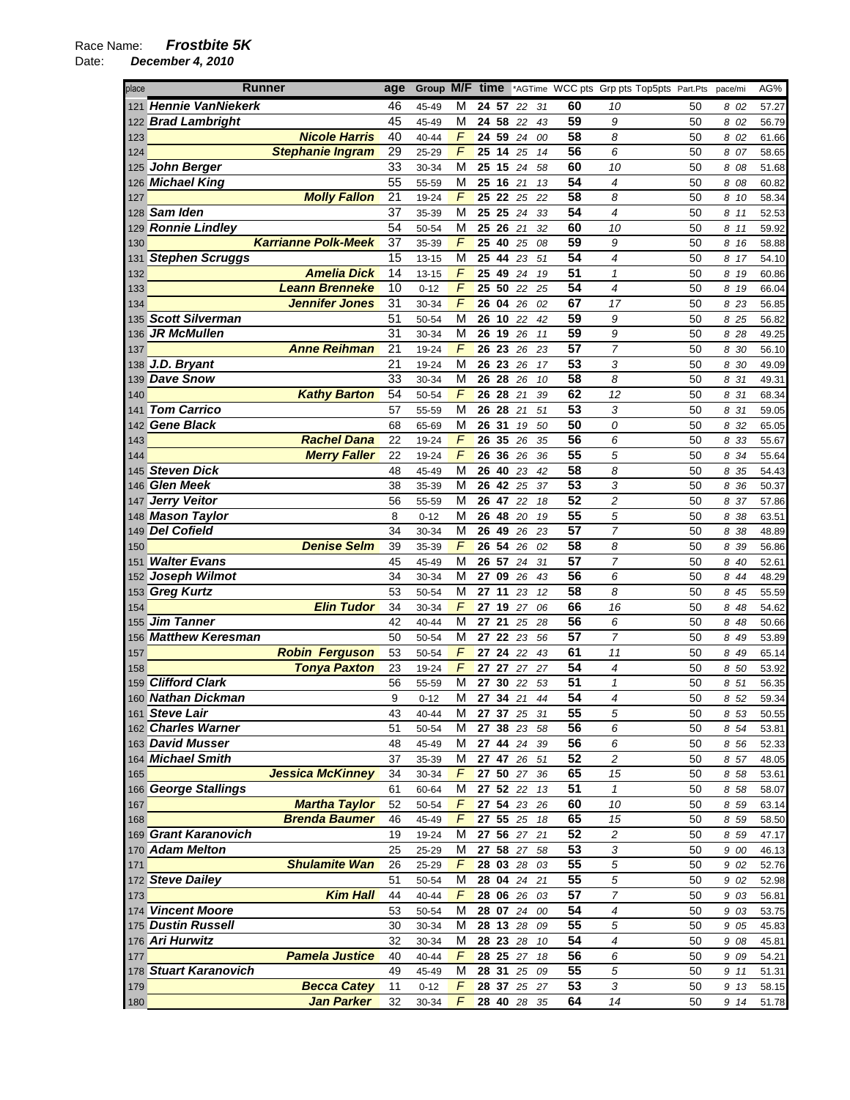| place | Runner                     | age                   | Group M/F time |                |                    |          |             |    | *AGTime WCC pts Grp pts Top5pts Part.Pts |                            |    | pace/mi | AG%   |
|-------|----------------------------|-----------------------|----------------|----------------|--------------------|----------|-------------|----|------------------------------------------|----------------------------|----|---------|-------|
|       | 121 Hennie VanNiekerk      | 46                    | 45-49          | M              | 24 57              |          | 22          | 31 | 60                                       | 10                         | 50 | 8 02    | 57.27 |
|       | 122 Brad Lambright         | 45                    | 45-49          | M              | 24 58              |          | 22          | 43 | 59                                       | 9                          | 50 | 8 02    | 56.79 |
| 123   | <b>Nicole Harris</b>       | 40                    | 40-44          | F              |                    | 24 59 24 |             | 00 | 58                                       | 8                          | 50 | 8 02    | 61.66 |
| 124   | <b>Stephanie Ingram</b>    | 29                    | 25-29          | $\sqrt{2}$     | $\overline{25}$ 14 |          | 25          | 14 | 56                                       | 6                          | 50 | 8 07    | 58.65 |
| 125   | <b>John Berger</b>         | 33                    | 30-34          | M              | 25 15              |          | 24          | 58 | 60                                       | 10                         | 50 | 8 08    | 51.68 |
|       | 126 Michael King           | 55                    | 55-59          | M              |                    | 25 16 21 |             | 13 | 54                                       | 4                          | 50 | 8 08    | 60.82 |
| 127   | <b>Molly Fallon</b>        | 21                    | 19-24          | F              |                    | 25 22 25 |             | 22 | 58                                       | 8                          | 50 | 8 10    | 58.34 |
|       | 128 Sam Iden               | 37                    | 35-39          | M              | 25 25              |          | 24          | 33 | 54                                       | 4                          | 50 | 8 11    | 52.53 |
|       | 129 Ronnie Lindley         | 54                    | 50-54          | M              |                    | 25 26 21 |             | 32 | 60                                       | 10                         | 50 | 8 11    | 59.92 |
| 130   | <b>Karrianne Polk-Meek</b> | 37                    | 35-39          | F              | 25 40              |          | 25          | 08 | 59                                       | 9                          | 50 | 8 16    | 58.88 |
|       | 131 Stephen Scruggs        | 15                    | 13-15          | M              | 25 44              |          | 23          | 51 | 54                                       | 4                          | 50 | 8 17    | 54.10 |
| 132   | <b>Amelia Dick</b>         | 14                    | 13-15          | F              |                    | 25 49 24 |             | 19 | $\overline{51}$                          | $\boldsymbol{\mathcal{I}}$ | 50 | 8 19    | 60.86 |
| 133   | <b>Leann Brenneke</b>      | 10                    | $0 - 12$       | $\sqrt{2}$     | 25 50              |          | 22          | 25 | 54                                       | 4                          | 50 | 8 19    | 66.04 |
| 134   | <b>Jennifer Jones</b>      | 31                    | 30-34          | $\sqrt{ }$     | 26 04              |          | 26          | 02 | 67                                       | 17                         | 50 | 8 23    | 56.85 |
| 135   | <b>Scott Silverman</b>     | 51                    | 50-54          | M              | $\overline{26}$ 10 |          | 22          | 42 | 59                                       | 9                          | 50 | 8 25    | 56.82 |
|       | 136 JR McMullen            | 31                    | 30-34          | M              | 26 19              |          | 26          | 11 | 59                                       | 9                          | 50 | 8 28    | 49.25 |
| 137   | <b>Anne Reihman</b>        | 21                    | 19-24          | $\sqrt{2}$     | 26 23              |          | 26          | 23 | 57                                       | 7                          | 50 | 8 30    | 56.10 |
|       | 138 J.D. Bryant            | 21                    | 19-24          | M              | 26 23              |          | 26          | 17 | 53                                       | 3                          | 50 | 8 30    | 49.09 |
|       | 139 Dave Snow              | 33                    | 30-34          | M              | 26                 | 28       | 26          | 10 | 58                                       | 8                          | 50 | 8 31    | 49.31 |
| 140   | <b>Kathy Barton</b>        | 54                    | 50-54          | $\sqrt{2}$     | 26 28              |          | 21          | 39 | 62                                       | 12                         | 50 | 8 31    | 68.34 |
| 141   | <b>Tom Carrico</b>         | 57                    | 55-59          | M              | 2628               |          | 21          | 51 | 53                                       | 3                          | 50 | 8 31    | 59.05 |
|       | 142 Gene Black             | 68                    | 65-69          | M              | 26 31              |          | 19          | 50 | 50                                       | 0                          | 50 | 8 32    | 65.05 |
| 143   | <b>Rachel Dana</b>         | 22                    | 19-24          | F              | 26 35              |          | 26          | 35 | 56                                       | 6                          | 50 | 8 33    | 55.67 |
| 144   | <b>Merry Faller</b>        | 22                    | 19-24          | $\sqrt{2}$     | 26 36              |          | 26          | 36 | $\overline{55}$                          | 5                          | 50 | 8 34    | 55.64 |
|       | 145 Steven Dick            | 48                    | 45-49          | M              | 26 40              |          | 23          | 42 | 58                                       | 8                          | 50 | 8 35    | 54.43 |
| 146   | <b>Glen Meek</b>           | 38                    | 35-39          | M              | 26 42              |          | 25          | 37 | 53                                       | 3                          | 50 | 8 36    | 50.37 |
| 147   | <b>Jerry Veitor</b>        | 56                    | 55-59          | M              | 26 47              |          | 22          | 18 | 52                                       | 2                          | 50 | 8 37    | 57.86 |
|       | 148 Mason Taylor           | 8                     | $0 - 12$       | М              | 26 48              |          | 20          | 19 | 55                                       | 5                          | 50 | 8 38    | 63.51 |
|       | 149 Del Cofield            | 34                    | 30-34          | M              | 26 49              |          | 26          | 23 | $\overline{57}$                          | $\overline{7}$             | 50 | 8 38    | 48.89 |
| 150   | <b>Denise Selm</b>         | 39                    | 35-39          | $\sqrt{2}$     | 26                 | 54       | 26          | 02 | 58                                       | 8                          | 50 | 8 39    | 56.86 |
| 151   | <b>Walter Evans</b>        | 45                    | 45-49          | M              |                    | 26 57 24 |             | 31 | 57                                       | $\overline{7}$             | 50 | 8 40    | 52.61 |
| 152   | Joseph Wilmot              | 34                    | 30-34          | М              | 27                 | 09       | 26          | 43 | 56                                       | 6                          | 50 | 8 44    | 48.29 |
|       | 153 Greg Kurtz             | 53                    | 50-54          | M              | 27 11              |          | 23          | 12 | 58                                       | 8                          | 50 | 8 45    | 55.59 |
| 154   | <b>Elin Tudor</b>          | 34                    | 30-34          | $\sqrt{2}$     |                    | 27 19 27 |             | 06 | 66                                       | 16                         | 50 | 8 48    | 54.62 |
|       | 155 Jim Tanner             | 42                    | 40-44          | M              | 27                 | 21       | 25          | 28 | 56                                       | 6                          | 50 | 8 48    | 50.66 |
|       | 156 Matthew Keresman       | 50                    | 50-54          | M              | 27 22              |          | 23          | 56 | $\overline{57}$                          | 7                          | 50 | 8 49    | 53.89 |
| 157   | <b>Robin Ferguson</b>      | 53                    | 50-54          | $\overline{F}$ | 27 24              |          | 22          | 43 | 61                                       | 11                         | 50 | 8 49    | 65.14 |
| 158   | <b>Tonya Paxton</b>        | 23                    | 19-24          | F              | 27 27              |          | 27          | 27 | 54                                       | 4                          | 50 | 8 50    | 53.92 |
|       | 159 Clifford Clark         | 56                    | 55-59          | м              | 27 30              |          | 22          | 53 | 51                                       | $\mathbf{1}$               | 50 | 8 51    | 56.35 |
|       | 160 <b>Nathan Dickman</b>  | 9                     | $0 - 12$       | M              |                    | 27 34 21 |             | 44 | 54                                       | 4                          | 50 | 8 52    | 59.34 |
|       | 161 Steve Lair             | 43                    | 40-44          | М              |                    | 27 37 25 |             | 31 | 55                                       | 5                          | 50 | 8 53    | 50.55 |
|       | 162 Charles Warner         | 51                    | 50-54          | М              |                    | 27 38 23 |             | 58 | 56                                       | 6                          | 50 | 8 54    | 53.81 |
|       | 163 David Musser           | 48                    | 45-49          | М              |                    | 27 44 24 |             | 39 | 56                                       | 6                          | 50 | 8 56    | 52.33 |
|       | 164 Michael Smith          | 37                    | 35-39          | M              |                    | 27 47 26 |             | 51 | 52                                       | 2                          | 50 | 8 57    | 48.05 |
| 165   | <b>Jessica McKinney</b>    | 34                    | 30-34          | F              |                    | 27 50 27 |             | 36 | 65                                       | 15                         | 50 | 8 58    | 53.61 |
|       | 166 George Stallings       | 61                    | 60-64          | M              |                    | 27 52 22 |             | 13 | $\overline{51}$                          | $\mathbf{1}$               | 50 | 8 58    | 58.07 |
| 167   | <b>Martha Taylor</b>       | 52                    | 50-54          | F              |                    | 27 54 23 |             | 26 | 60                                       | 10                         | 50 | 8 59    | 63.14 |
| 168   | <b>Brenda Baumer</b>       | 46                    | 45-49          | F              |                    | 27 55 25 |             | 18 | 65                                       | 15                         | 50 | 8 5 9   | 58.50 |
|       | 169 Grant Karanovich       | 19                    | 19-24          | М              |                    | 27 56 27 |             | 21 | 52                                       | 2                          | 50 | 8 59    | 47.17 |
|       | 170 Adam Melton            | 25                    | 25-29          | М              |                    | 27 58 27 |             | 58 | 53                                       | 3                          | 50 | 9 00    | 46.13 |
| 171   | <b>Shulamite Wan</b>       | 26                    | 25-29          | F              |                    | 28 03 28 |             | 03 | 55                                       | 5                          | 50 | 9 02    | 52.76 |
|       | 172 Steve Dailey           | 51                    | 50-54          | M              |                    | 28 04 24 |             | 21 | $\overline{55}$                          | 5                          | 50 | 9 02    | 52.98 |
| 173   |                            | <b>Kim Hall</b><br>44 | 40-44          | F              |                    | 28 06 26 |             | 03 | $\overline{57}$                          | $\overline{7}$             | 50 | 9 03    | 56.81 |
|       | 174 Vincent Moore          | 53                    | 50-54          | M              |                    | 28 07 24 |             | 00 | 54                                       | 4                          | 50 | 9 03    | 53.75 |
|       | 175 Dustin Russell         | 30                    | 30-34          | M              |                    | 28 13 28 |             | 09 | 55                                       | 5                          | 50 | 9 05    | 45.83 |
|       | 176 Ari Hurwitz            | 32                    | 30-34          | М              |                    | 28 23 28 |             | 10 | 54                                       | 4                          | 50 | 9 08    | 45.81 |
| 177   | <b>Pamela Justice</b>      | 40                    | 40-44          | F              |                    | 28 25 27 |             | 18 | $\overline{56}$                          | 6                          | 50 | 9 0 9   | 54.21 |
|       | 178 Stuart Karanovich      | 49                    | 45-49          | M              |                    | 28 31 25 |             | 09 | 55                                       | 5                          | 50 | 9 11    | 51.31 |
| 179   | <b>Becca Catey</b>         | 11                    | $0 - 12$       | F              |                    | 28 37 25 |             | 27 | 53                                       | 3                          | 50 | 9 13    | 58.15 |
| 180   | <b>Jan Parker</b>          | 32                    | 30-34          | F              |                    |          | 28 40 28 35 |    | 64                                       | 14                         | 50 | 9 14    | 51.78 |
|       |                            |                       |                |                |                    |          |             |    |                                          |                            |    |         |       |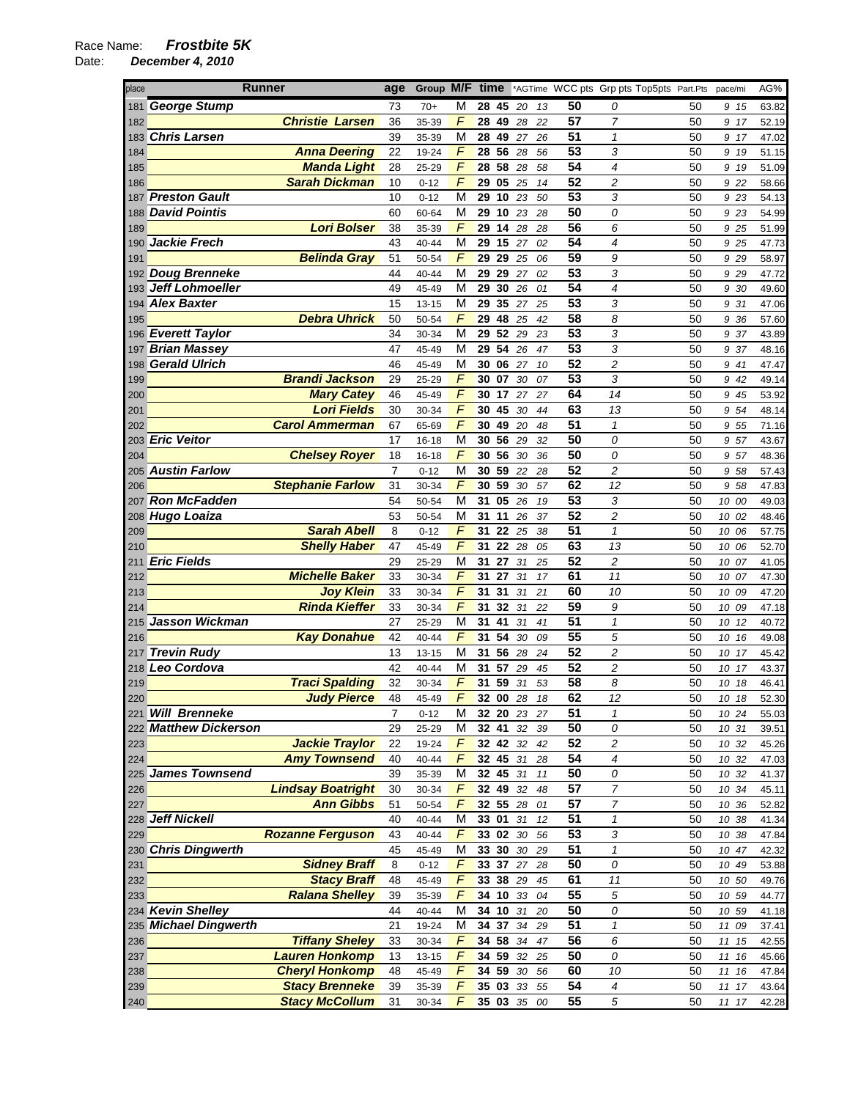| place      | <b>Runner</b>                     | age            | Group M/F time |                |       |                    |        |    |                 | *AGTime WCC pts Grp pts Top5pts Part.Pts |    | pace/mi      | AG%   |
|------------|-----------------------------------|----------------|----------------|----------------|-------|--------------------|--------|----|-----------------|------------------------------------------|----|--------------|-------|
| 181        | George Stump                      | 73             | $70+$          | М              |       | 2845               | 20     | 13 | 50              | 0                                        | 50 | 9 15         | 63.82 |
| 182        | <b>Christie Larsen</b>            | 36             | 35-39          | F              |       | 28 49 28           |        | 22 | 57              | 7                                        | 50 | 9 17         | 52.19 |
|            | 183 Chris Larsen                  | 39             | 35-39          | M              |       | 28 49              | 27     | 26 | 51              | $\mathbf{1}$                             | 50 | 9 17         | 47.02 |
| 184        | <b>Anna Deering</b>               | 22             | 19-24          | $\sqrt{2}$     |       | $\overline{28}$ 56 | 28     | 56 | 53              | 3                                        | 50 | 9 19         | 51.15 |
| 185        | <b>Manda Light</b>                | 28             | 25-29          | F              |       | 28 58              | 28     | 58 | 54              | 4                                        | 50 | 9 19         | 51.09 |
| 186        | <b>Sarah Dickman</b>              | 10             | $0 - 12$       | F              |       | 29 05              | 25     | 14 | 52              | 2                                        | 50 | 9 22         | 58.66 |
| 187        | Preston Gault                     | 10             | $0 - 12$       | M              |       | 29 10 23           |        | 50 | $\overline{53}$ | 3                                        | 50 | 9 23         | 54.13 |
| 188        | <b>David Pointis</b>              | 60             | 60-64          | M              |       | 29 10              | 23     | 28 | 50              | 0                                        | 50 | 9 23         | 54.99 |
| 189        | <b>Lori Bolser</b>                | 38             | 35-39          | F              |       | 29 14              | 28     | 28 | 56              | 6                                        | 50 | 9 25         | 51.99 |
|            | 190 Jackie Frech                  | 43             | 40-44          | M              |       | 29 15              | 27     | 02 | 54              | 4                                        | 50 | 9 25         | 47.73 |
| 191        | <b>Belinda Gray</b>               | 51             | 50-54          | F              |       | 29 29              | 25     | 06 | 59              | 9                                        | 50 | 9 29         | 58.97 |
|            | 192 Doug Brenneke                 | 44             | 40-44          | М              | 29    | 29                 | 27     | 02 | 53              | 3                                        | 50 | 9 2 9        | 47.72 |
|            | 193 Jeff Lohmoeller               | 49             | 45-49          | М              |       | 29 30              | 26     | 01 | 54              | $\overline{\mathcal{A}}$                 | 50 | 9 30         | 49.60 |
| 194        | <b>Alex Baxter</b>                | 15             | 13-15          | M              | 29    | 35                 | 27     | 25 | $\overline{53}$ | 3                                        | 50 | 9 31         | 47.06 |
| 195        | <b>Debra Uhrick</b>               | 50             | 50-54          | $\sqrt{2}$     | 29    | 48                 | 25     | 42 | 58              | 8                                        | 50 | 9 36         | 57.60 |
|            | 196 Everett Taylor                | 34             | 30-34          | M              | 29    | 52                 | 29     | 23 | 53              | 3                                        | 50 | 9 37         | 43.89 |
| 197        | <b>Brian Massey</b>               | 47             | 45-49          | М              | 29    | 54                 | 26     | 47 | 53              | 3                                        | 50 | 9 37         | 48.16 |
| 198        | <b>Gerald Ulrich</b>              | 46             | 45-49          | M              | 30    | 06                 | 27     | 10 | 52              | $\overline{c}$                           | 50 | 9 41         | 47.47 |
| 199        | <b>Brandi Jackson</b>             | 29             | 25-29          | F              | 30    | 07                 | 30     | 07 | 53              | 3                                        | 50 | 9 42         | 49.14 |
| 200        | <b>Mary Catey</b>                 | 46             | 45-49          | $\overline{F}$ |       | 30 17              | 27     | 27 | 64              | 14                                       | 50 | 9 45         | 53.92 |
| 201        | <b>Lori Fields</b>                | 30             | 30-34          | $\overline{F}$ | 30    | 45                 | 30     | 44 | 63              | 13                                       | 50 | 9 54         | 48.14 |
| 202        | <b>Carol Ammerman</b>             | 67             | 65-69          | F              | 30    | 49                 | 20     | 48 | 51              | $\mathcal I$                             | 50 | 9 55         | 71.16 |
|            | 203 Eric Veitor                   | 17             | 16-18          | М              |       | 30 56              | 29     | 32 | 50              | 0                                        | 50 | 9 57         | 43.67 |
| 204        | <b>Chelsey Royer</b>              | 18             | 16-18          | F              | 30    | 56                 | 30     | 36 | 50              | 0                                        | 50 | 9 57         | 48.36 |
|            | <b>Austin Farlow</b>              | $\overline{7}$ | $0 - 12$       | M              |       | 30 59              | 22     | 28 | $\overline{52}$ | $\overline{c}$                           | 50 | 9 58         | 57.43 |
| 205<br>206 | <b>Stephanie Farlow</b>           | 31             | 30-34          | $\sqrt{2}$     |       | 30 59              | 30     | 57 | 62              | 12                                       | 50 | 9 58         | 47.83 |
|            | <b>Ron McFadden</b>               | 54             | 50-54          | M              | 31    | 05                 | 26     | 19 | 53              | 3                                        | 50 | 10 00        | 49.03 |
| 207        |                                   | 53             |                | M              |       | 11                 |        |    | 52              |                                          | 50 |              |       |
| 208        | Hugo Loaiza<br><b>Sarah Abell</b> |                | 50-54          | F              | 31    |                    | 26     | 37 | 51              | $\overline{c}$<br>$\mathbf{1}$           |    | 10 02        | 48.46 |
| 209        |                                   | 8              | $0 - 12$       | F              | 31    | 22 25              |        | 38 | 63              |                                          | 50 | 10 06        | 57.75 |
| 210        | <b>Shelly Haber</b>               | 47             | 45-49          |                | 31    | 22                 | 28     | 05 | 52              | 13                                       | 50 | 10 06        | 52.70 |
| 211        | <b>Eric Fields</b>                | 29             | 25-29          | M              | 31    | 27                 | 31     | 25 |                 | $\overline{c}$                           | 50 | 10 07        | 41.05 |
| 212        | <b>Michelle Baker</b>             | 33             | 30-34          | $\sqrt{2}$     | 31    | 27 31              |        | 17 | 61              | 11                                       | 50 | 10 07        | 47.30 |
| 213        | <b>Joy Klein</b>                  | 33             | 30-34          | F              | 31    | 31                 | 31     | 21 | 60              | 10                                       | 50 | 10 09        | 47.20 |
| 214        | <b>Rinda Kieffer</b>              | 33             | 30-34          | F              | 31    | 32                 | 31     | 22 | 59              | 9                                        | 50 | 10 09        | 47.18 |
| 215        | <b>Jasson Wickman</b>             | 27             | 25-29          | M              | 31    | 41                 | 31     | 41 | 51              | $\mathcal I$                             | 50 | 10 12        | 40.72 |
| 216        | <b>Kay Donahue</b>                | 42             | 40-44          | F              | 31    | 54                 | 30     | 09 | 55              | 5                                        | 50 | 10 16        | 49.08 |
| 217        | <b>Trevin Rudy</b>                | 13             | 13-15          | M              |       | 31 56              | 28     | 24 | 52              | $\overline{c}$                           | 50 | 10 17        | 45.42 |
|            | 218 Leo Cordova                   | 42             | 40-44          | М              | 31    | 57                 | 29     | 45 | 52              | 2                                        | 50 | 10 17        | 43.37 |
| 219        | <b>Traci Spalding</b>             | 32             | 30-34          | F              | 31    | 59                 | 31     | 53 | 58<br>62        | 8                                        | 50 | 10 18        | 46.41 |
| 220        | <b>Judy Pierce</b>                | 48             | 45-49          | F              |       | 32 00              | 28     | 18 |                 | 12                                       | 50 | 10 18        | 52.30 |
|            | 221 Will Brenneke                 | 7              | $0 - 12$       | М              |       | 32 20 23           |        | 27 | 51<br>50        | $\mathbf{1}$                             | 50 | 10 24        | 55.03 |
|            | 222 Matthew Dickerson             | 29             | 25-29          | M              | 32 41 |                    | 32     | 39 |                 | 0                                        | 50 | 10 31        | 39.51 |
| 223        | <b>Jackie Traylor</b>             | 22             | 19-24          | F              |       | 32 42 32           |        | 42 | 52              | $\boldsymbol{2}$                         | 50 | 10 32        | 45.26 |
| 224        | <b>Amy Townsend</b>               | 40             | $40 - 44$      | F              |       | 32 45              | 31     | 28 | 54              | 4                                        | 50 | 10 32        | 47.03 |
| 225        | <b>James Townsend</b>             | 39             | 35-39          | М              |       | 32 45 31           |        | 11 | 50              | 0                                        | 50 | 10 32        | 41.37 |
| 226        | <b>Lindsay Boatright</b>          | 30             | 30-34          | F              |       | 32 49 32           |        | 48 | $\overline{57}$ | $\overline{7}$                           | 50 | 10 34        | 45.11 |
| 227        | <b>Ann Gibbs</b>                  | 51             | 50-54          | $\sqrt{2}$     |       | 32 55 28           |        | 01 | $\overline{57}$ | $\overline{7}$                           | 50 | 10 36        | 52.82 |
|            | 228 Jeff Nickell                  | 40             | 40-44          | M              |       | 33 01              | 31     | 12 | 51              | $\mathcal I$                             | 50 | 10 38        | 41.34 |
| 229        | <b>Rozanne Ferguson</b>           | 43             | $40 - 44$      | $\overline{F}$ |       | 33 02 30           |        | 56 | 53              | 3                                        | 50 | 10 38        | 47.84 |
|            | 230 Chris Dingwerth               | 45             | 45-49          | М              |       | 33 30              | $30\,$ | 29 | 51              | $\mathcal I$                             | 50 | 10 47        | 42.32 |
| 231        | <b>Sidney Braff</b>               | 8              | $0 - 12$       | F              |       | $33\ 37\ 27$       |        | 28 | 50              | 0                                        | 50 | 10 49        | 53.88 |
| 232        | <b>Stacy Braff</b>                | 48             | 45-49          | $\overline{F}$ |       | 33 38 29           |        | 45 | 61              | 11                                       | 50 | 10 50        | 49.76 |
| 233        | <b>Ralana Shelley</b>             | 39             | 35-39          | $\sqrt{2}$     | 34    | $10$               | 33     | 04 | $\overline{55}$ | 5                                        | 50 | 10 59        | 44.77 |
|            | 234 Kevin Shelley                 | 44             | 40-44          | M              |       | 34 10 31           |        | 20 | 50              | 0                                        | 50 | 10 59        | 41.18 |
|            | 235 Michael Dingwerth             | 21             | 19-24          | М              |       | 34 37              | 34     | 29 | 51              | $\mathbf{1}$                             | 50 | $11\,$<br>09 | 37.41 |
| 236        | <b>Tiffany Sheley</b>             | 33             | 30-34          | F              |       | 34 58 34           |        | 47 | 56              | 6                                        | 50 | 11 15        | 42.55 |
| 237        | <b>Lauren Honkomp</b>             | 13             | 13-15          | F              |       | 34 59 32           |        | 25 | $\overline{50}$ | 0                                        | 50 | 11 16        | 45.66 |
| 238        | <b>Cheryl Honkomp</b>             | 48             | 45-49          | F              |       | 34 59 30           |        | 56 | 60              | 10                                       | 50 | $11\,$<br>16 | 47.84 |
| 239        | <b>Stacy Brenneke</b>             | 39             | 35-39          | F              |       | $35$ 03 33         |        | 55 | 54              | 4                                        | 50 | 11<br>17     | 43.64 |
| 240        | <b>Stacy McCollum</b>             | 31             | 30-34          | $\overline{F}$ |       | 35 03 35           |        | 00 | 55              | 5                                        | 50 | 11 17        | 42.28 |